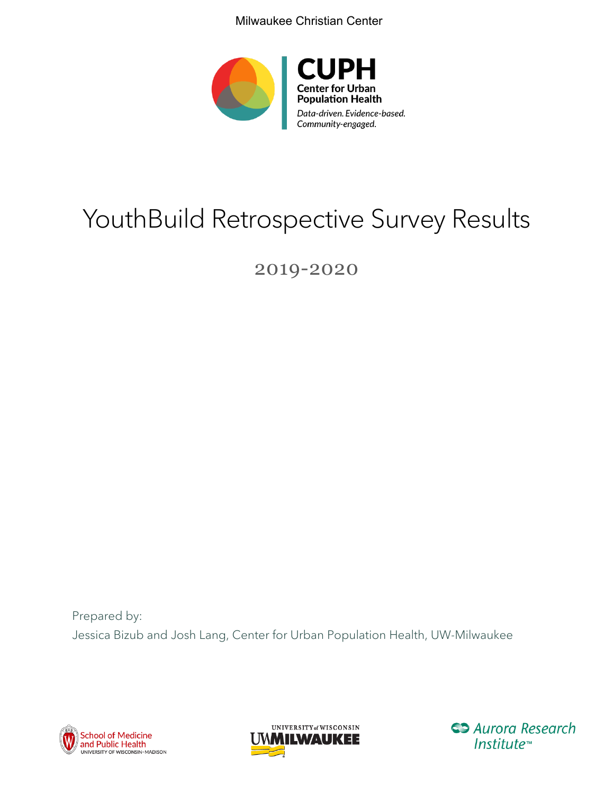Milwaukee Christian Center



# YouthBuild Retrospective Survey Results

# 2019-2020

Prepared by: Jessica Bizub and Josh Lang, Center for Urban Population Health, UW-Milwaukee





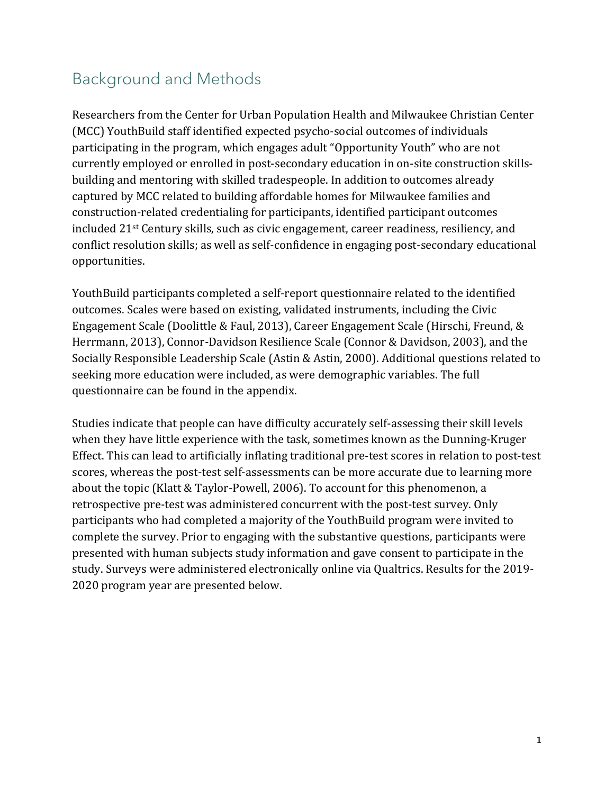# Background and Methods

Researchers from the Center for Urban Population Health and Milwaukee Christian Center (MCC) YouthBuild staff identified expected psycho-social outcomes of individuals participating in the program, which engages adult "Opportunity Youth" who are not currently employed or enrolled in post-secondary education in on-site construction skillsbuilding and mentoring with skilled tradespeople. In addition to outcomes already captured by MCC related to building affordable homes for Milwaukee families and construction-related credentialing for participants, identified participant outcomes included 21st Century skills, such as civic engagement, career readiness, resiliency, and conflict resolution skills; as well as self-confidence in engaging post-secondary educational opportunities.

YouthBuild participants completed a self-report questionnaire related to the identified outcomes. Scales were based on existing, validated instruments, including the Civic Engagement Scale (Doolittle & Faul, 2013), Career Engagement Scale (Hirschi, Freund, & Herrmann, 2013), Connor-Davidson Resilience Scale (Connor & Davidson, 2003), and the Socially Responsible Leadership Scale (Astin & Astin, 2000). Additional questions related to seeking more education were included, as were demographic variables. The full questionnaire can be found in the appendix.

Studies indicate that people can have difficulty accurately self-assessing their skill levels when they have little experience with the task, sometimes known as the Dunning-Kruger Effect. This can lead to artificially inflating traditional pre-test scores in relation to post-test scores, whereas the post-test self-assessments can be more accurate due to learning more about the topic (Klatt & Taylor-Powell, 2006). To account for this phenomenon, a retrospective pre-test was administered concurrent with the post-test survey. Only participants who had completed a majority of the YouthBuild program were invited to complete the survey. Prior to engaging with the substantive questions, participants were presented with human subjects study information and gave consent to participate in the study. Surveys were administered electronically online via Qualtrics. Results for the 2019- 2020 program year are presented below.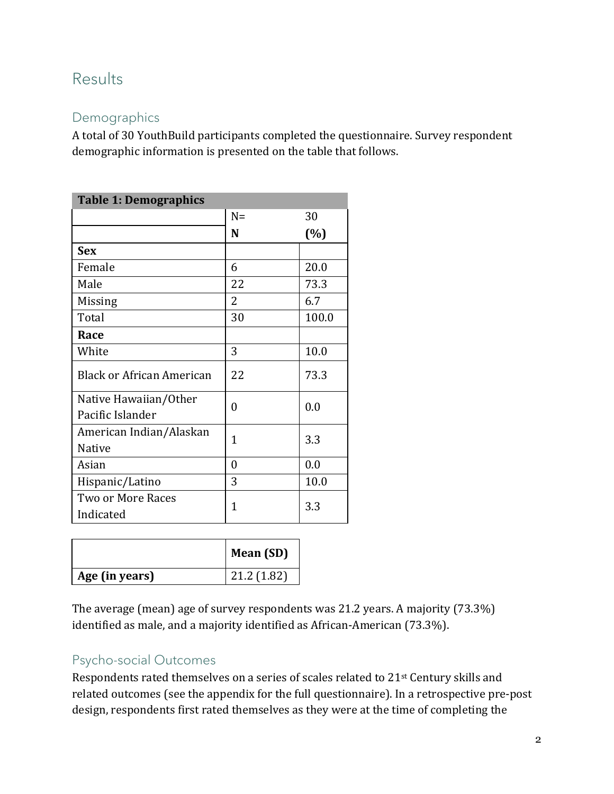## Results

## Demographics

A total of 30 YouthBuild participants completed the questionnaire. Survey respondent demographic information is presented on the table that follows.

| <b>Table 1: Demographics</b>     |       |       |
|----------------------------------|-------|-------|
|                                  | $N =$ | 30    |
|                                  | N     | (%)   |
| <b>Sex</b>                       |       |       |
| Female                           | 6     | 20.0  |
| Male                             | 22    | 73.3  |
| Missing                          | 2     | 6.7   |
| Total                            | 30    | 100.0 |
| Race                             |       |       |
| White                            | 3     | 10.0  |
| <b>Black or African American</b> | 22    | 73.3  |
| Native Hawaiian/Other            | 0     | 0.0   |
| Pacific Islander                 |       |       |
| American Indian/Alaskan          | 1     | 3.3   |
| <b>Native</b>                    |       |       |
| Asian                            | 0     | 0.0   |
| Hispanic/Latino                  | 3     | 10.0  |
| Two or More Races                | 1     | 3.3   |
| Indicated                        |       |       |

|                | Mean (SD)  |
|----------------|------------|
| Age (in years) | 21.2(1.82) |

The average (mean) age of survey respondents was 21.2 years. A majority (73.3%) identified as male, and a majority identified as African-American (73.3%).

#### Psycho-social Outcomes

Respondents rated themselves on a series of scales related to 21st Century skills and related outcomes (see the appendix for the full questionnaire). In a retrospective pre-post design, respondents first rated themselves as they were at the time of completing the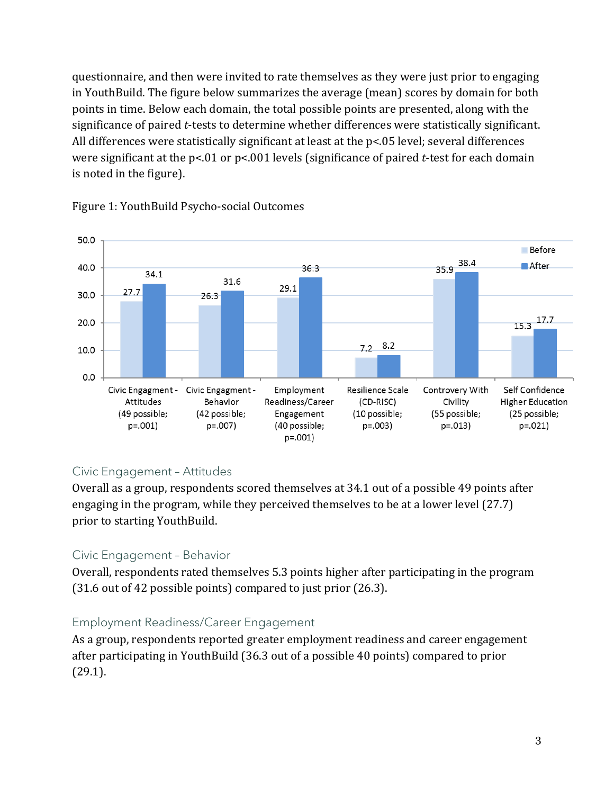questionnaire, and then were invited to rate themselves as they were just prior to engaging in YouthBuild. The figure below summarizes the average (mean) scores by domain for both points in time. Below each domain, the total possible points are presented, along with the significance of paired *t*-tests to determine whether differences were statistically significant. All differences were statistically significant at least at the p<.05 level; several differences were significant at the p<.01 or p<.001 levels (significance of paired *t*-test for each domain is noted in the figure).



#### Figure 1: YouthBuild Psycho-social Outcomes

#### Civic Engagement – Attitudes

Overall as a group, respondents scored themselves at 34.1 out of a possible 49 points after engaging in the program, while they perceived themselves to be at a lower level (27.7) prior to starting YouthBuild.

#### Civic Engagement – Behavior

Overall, respondents rated themselves 5.3 points higher after participating in the program (31.6 out of 42 possible points) compared to just prior (26.3).

#### Employment Readiness/Career Engagement

As a group, respondents reported greater employment readiness and career engagement after participating in YouthBuild (36.3 out of a possible 40 points) compared to prior (29.1).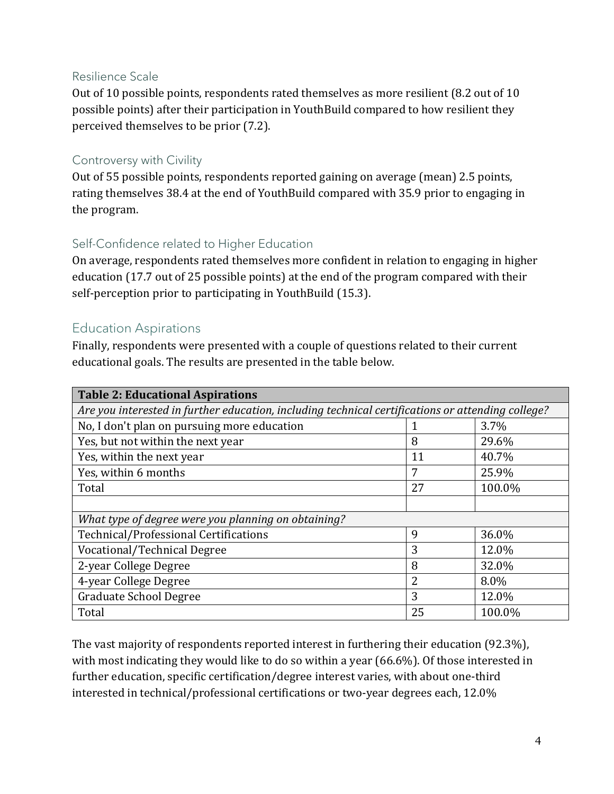#### Resilience Scale

Out of 10 possible points, respondents rated themselves as more resilient (8.2 out of 10 possible points) after their participation in YouthBuild compared to how resilient they perceived themselves to be prior (7.2).

#### Controversy with Civility

Out of 55 possible points, respondents reported gaining on average (mean) 2.5 points, rating themselves 38.4 at the end of YouthBuild compared with 35.9 prior to engaging in the program.

#### Self-Confidence related to Higher Education

On average, respondents rated themselves more confident in relation to engaging in higher education (17.7 out of 25 possible points) at the end of the program compared with their self-perception prior to participating in YouthBuild (15.3).

#### Education Aspirations

Finally, respondents were presented with a couple of questions related to their current educational goals. The results are presented in the table below.

| <b>Table 2: Educational Aspirations</b>                                                           |                |        |  |  |  |  |  |
|---------------------------------------------------------------------------------------------------|----------------|--------|--|--|--|--|--|
| Are you interested in further education, including technical certifications or attending college? |                |        |  |  |  |  |  |
| No, I don't plan on pursuing more education                                                       |                | 3.7%   |  |  |  |  |  |
| Yes, but not within the next year                                                                 | 8              | 29.6%  |  |  |  |  |  |
| Yes, within the next year                                                                         | 11             | 40.7%  |  |  |  |  |  |
| Yes, within 6 months                                                                              | 7              | 25.9%  |  |  |  |  |  |
| Total                                                                                             | 27             | 100.0% |  |  |  |  |  |
|                                                                                                   |                |        |  |  |  |  |  |
| What type of degree were you planning on obtaining?                                               |                |        |  |  |  |  |  |
| Technical/Professional Certifications                                                             | 9              | 36.0%  |  |  |  |  |  |
| Vocational/Technical Degree                                                                       | 3              | 12.0%  |  |  |  |  |  |
| 2-year College Degree                                                                             | 8              | 32.0%  |  |  |  |  |  |
| 4-year College Degree                                                                             | $\overline{2}$ | 8.0%   |  |  |  |  |  |
| <b>Graduate School Degree</b>                                                                     | 3              | 12.0%  |  |  |  |  |  |
| Total                                                                                             | 25             | 100.0% |  |  |  |  |  |

The vast majority of respondents reported interest in furthering their education (92.3%), with most indicating they would like to do so within a year (66.6%). Of those interested in further education, specific certification/degree interest varies, with about one-third interested in technical/professional certifications or two-year degrees each, 12.0%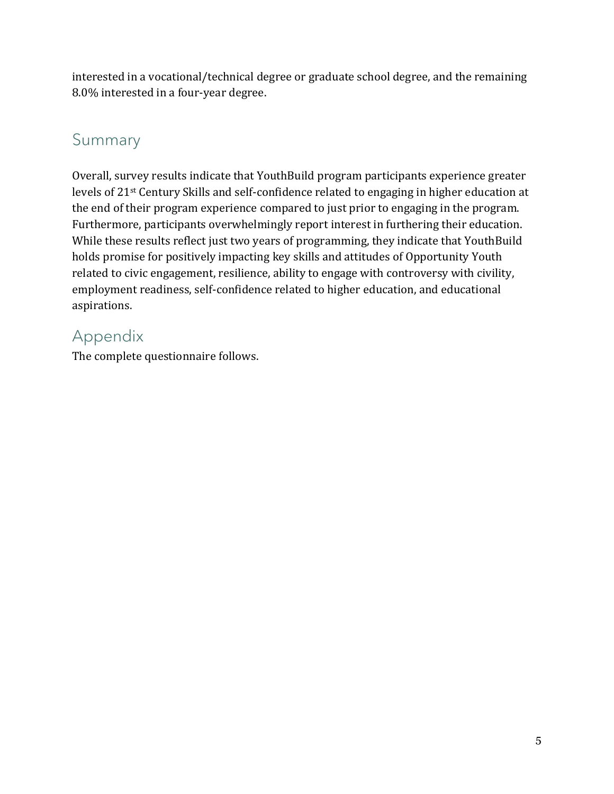interested in a vocational/technical degree or graduate school degree, and the remaining 8.0% interested in a four-year degree.

# Summary

Overall, survey results indicate that YouthBuild program participants experience greater levels of 21st Century Skills and self-confidence related to engaging in higher education at the end of their program experience compared to just prior to engaging in the program. Furthermore, participants overwhelmingly report interest in furthering their education. While these results reflect just two years of programming, they indicate that YouthBuild holds promise for positively impacting key skills and attitudes of Opportunity Youth related to civic engagement, resilience, ability to engage with controversy with civility, employment readiness, self-confidence related to higher education, and educational aspirations.

# Appendix

The complete questionnaire follows.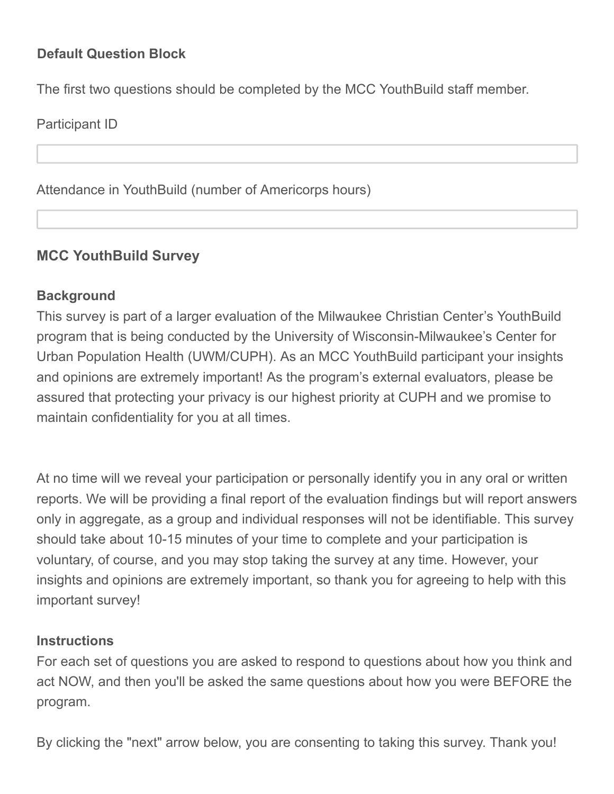## **Default Question Block**

The first two questions should be completed by the MCC YouthBuild staff member.

Participant ID

Attendance in YouthBuild (number of Americorps hours)

## **MCC YouthBuild Survey**

#### **Background**

This survey is part of a larger evaluation of the Milwaukee Christian Center's YouthBuild program that is being conducted by the University of Wisconsin-Milwaukee's Center for Urban Population Health (UWM/CUPH). As an MCC YouthBuild participant your insights and opinions are extremely important! As the program's external evaluators, please be assured that protecting your privacy is our highest priority at CUPH and we promise to maintain confidentiality for you at all times.

At no time will we reveal your participation or personally identify you in any oral or written reports. We will be providing a final report of the evaluation findings but will report answers only in aggregate, as a group and individual responses will not be identifiable. This survey should take about 10-15 minutes of your time to complete and your participation is voluntary, of course, and you may stop taking the survey at any time. However, your insights and opinions are extremely important, so thank you for agreeing to help with this important survey!

#### **Instructions**

For each set of questions you are asked to respond to questions about how you think and act NOW, and then you'll be asked the same questions about how you were BEFORE the program.

By clicking the "next" arrow below, you are consenting to taking this survey. Thank you!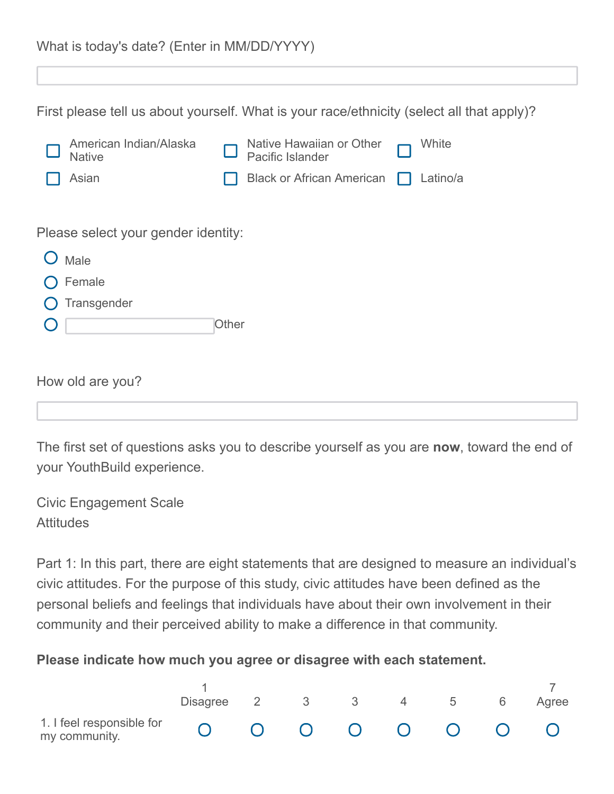|  | What is today's date? (Enter in MM/DD/YYYY) |
|--|---------------------------------------------|
|--|---------------------------------------------|

First please tell us about yourself. What is your race/ethnicity (select all that apply)?

| American Indian/Alaska<br><b>Native</b> |              | Native Hawaiian or Other<br>Pacific Islander | White    |
|-----------------------------------------|--------------|----------------------------------------------|----------|
| Asian                                   |              | <b>Black or African American</b>             | Latino/a |
|                                         |              |                                              |          |
| Please select your gender identity:     |              |                                              |          |
| Male                                    |              |                                              |          |
| Female                                  |              |                                              |          |
| Transgender                             |              |                                              |          |
|                                         | <b>Other</b> |                                              |          |
|                                         |              |                                              |          |
| How old are you?                        |              |                                              |          |

The first set of questions asks you to describe yourself as you are **now**, toward the end of your YouthBuild experience.

Civic Engagement Scale **Attitudes** 

Part 1: In this part, there are eight statements that are designed to measure an individual's civic attitudes. For the purpose of this study, civic attitudes have been defined as the personal beliefs and feelings that individuals have about their own involvement in their community and their perceived ability to make a difference in that community.

#### **Please indicate how much you agree or disagree with each statement.**

|                                            | Disagree 2 3 3 4 5 6 |  |  |  | Agree |
|--------------------------------------------|----------------------|--|--|--|-------|
| 1. I feel responsible for<br>my community. | 0 0 0 0 0 0 0 0      |  |  |  |       |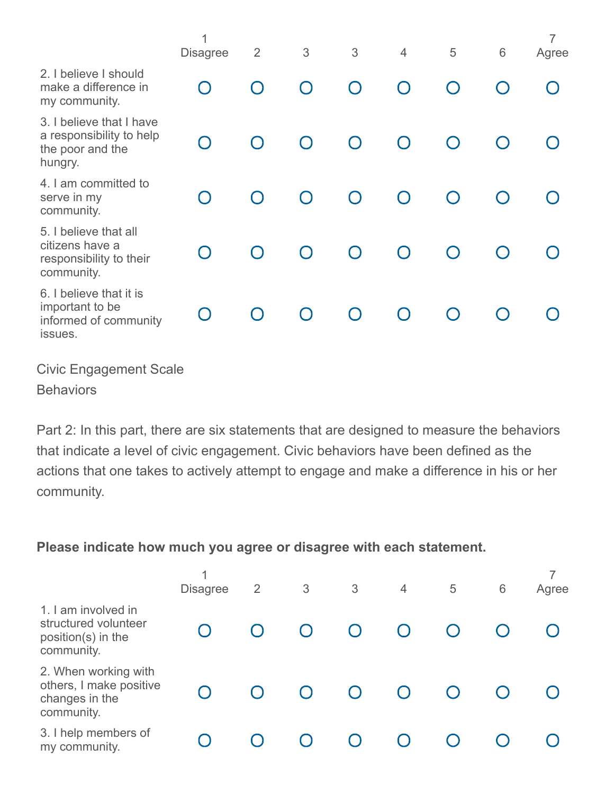| <b>Disagree</b> | $\overline{2}$ | 3         | 3         | $\overline{4}$ | 5         | 6 | $\overline{7}$<br>Agree |
|-----------------|----------------|-----------|-----------|----------------|-----------|---|-------------------------|
|                 | $\bigcap$      | $\bigcap$ | $\bigcap$ |                |           |   |                         |
|                 | $\bigcap$      | $\bigcap$ | $\bigcap$ | $\bigcap$      | $\bigcap$ |   |                         |
|                 | $\bigcap$      | $\bigcap$ | $\bigcap$ |                | $\bigcap$ |   |                         |
|                 | $\bigcap$      | $\bigcap$ | $\bigcap$ | $\bigcap$      | $\bigcap$ |   |                         |
|                 | $\bigcap$      | ∩         | $\bigcap$ | $\cap$         | $\bigcap$ |   |                         |
|                 |                |           |           |                |           |   |                         |

Civic Engagement Scale

**Behaviors** 

Part 2: In this part, there are six statements that are designed to measure the behaviors that indicate a level of civic engagement. Civic behaviors have been defined as the actions that one takes to actively attempt to engage and make a difference in his or her community.

## **Please indicate how much you agree or disagree with each statement.**

|                                                                                 | <b>Disagree</b> | $\overline{2}$ | 3 | 3 | $\overline{4}$ | 5 | 6 | Agree |
|---------------------------------------------------------------------------------|-----------------|----------------|---|---|----------------|---|---|-------|
| 1. I am involved in<br>structured volunteer<br>position(s) in the<br>community. |                 |                |   |   |                |   |   |       |
| 2. When working with<br>others, I make positive<br>changes in the<br>community. |                 |                |   |   |                |   |   |       |
| 3. I help members of<br>my community.                                           |                 |                |   |   |                |   |   |       |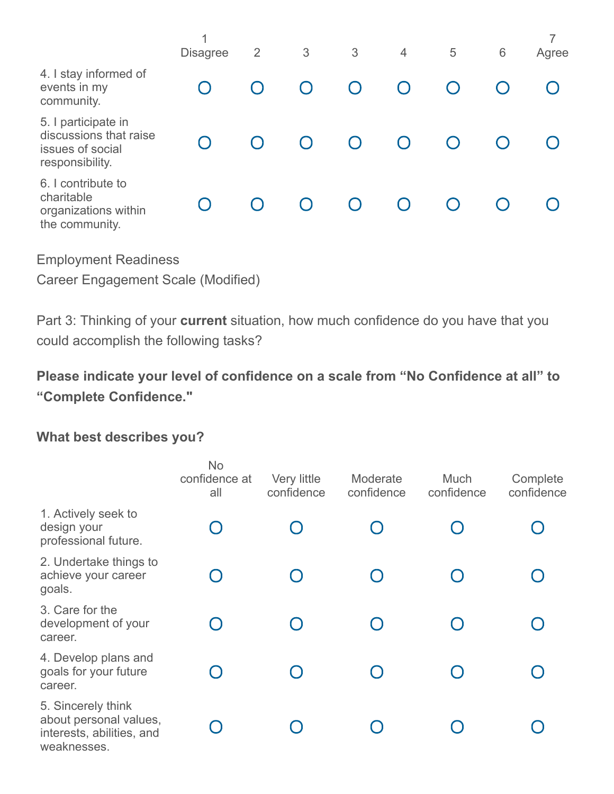|                                                                                      | 4<br><b>Disagree</b> | $\overline{2}$ | 3 | 3 | $\overline{4}$ | 5 | $6\phantom{1}6$ | Agree |
|--------------------------------------------------------------------------------------|----------------------|----------------|---|---|----------------|---|-----------------|-------|
| 4. I stay informed of<br>events in my<br>community.                                  |                      |                |   |   |                |   |                 |       |
| 5. I participate in<br>discussions that raise<br>issues of social<br>responsibility. |                      |                |   |   |                |   |                 |       |
| 6. I contribute to<br>charitable<br>organizations within<br>the community.           |                      |                |   |   |                |   |                 |       |

Employment Readiness

Career Engagement Scale (Modified)

Part 3: Thinking of your **current** situation, how much confidence do you have that you could accomplish the following tasks?

**Please indicate your level of confidence on a scale from "No Confidence at all" to "Complete Confidence."**

#### **What best describes you?**

|                                                                                          | <b>No</b><br>confidence at<br>all | Very little<br>confidence | Moderate<br>confidence | <b>Much</b><br>confidence | Complete<br>confidence |
|------------------------------------------------------------------------------------------|-----------------------------------|---------------------------|------------------------|---------------------------|------------------------|
| 1. Actively seek to<br>design your<br>professional future.                               |                                   |                           |                        |                           |                        |
| 2. Undertake things to<br>achieve your career<br>goals.                                  |                                   |                           |                        |                           |                        |
| 3. Care for the<br>development of your<br>career.                                        |                                   |                           |                        |                           |                        |
| 4. Develop plans and<br>goals for your future<br>career.                                 |                                   |                           |                        |                           |                        |
| 5. Sincerely think<br>about personal values,<br>interests, abilities, and<br>weaknesses. |                                   |                           |                        |                           |                        |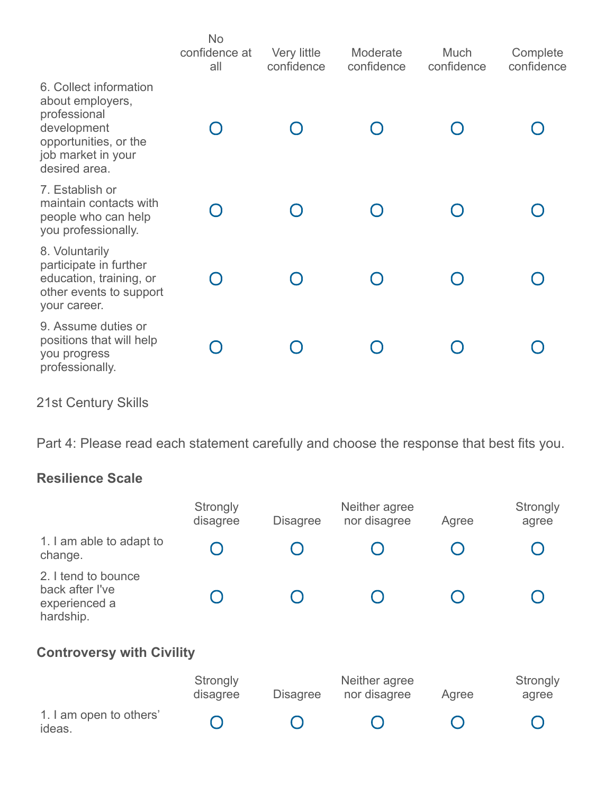|                                                                                                                                           | <b>No</b><br>confidence at<br>all | Very little<br>confidence | Moderate<br>confidence | Much<br>confidence | Complete<br>confidence |
|-------------------------------------------------------------------------------------------------------------------------------------------|-----------------------------------|---------------------------|------------------------|--------------------|------------------------|
| 6. Collect information<br>about employers,<br>professional<br>development<br>opportunities, or the<br>job market in your<br>desired area. |                                   |                           |                        |                    |                        |
| 7. Establish or<br>maintain contacts with<br>people who can help<br>you professionally.                                                   |                                   |                           |                        |                    |                        |
| 8. Voluntarily<br>participate in further<br>education, training, or<br>other events to support<br>your career.                            |                                   |                           |                        |                    |                        |
| 9. Assume duties or<br>positions that will help<br>you progress<br>professionally.                                                        |                                   |                           |                        |                    |                        |

21st Century Skills

Part 4: Please read each statement carefully and choose the response that best fits you.

## **Resilience Scale**

|                                                                      | Strongly<br>disagree | <b>Disagree</b> | Neither agree<br>nor disagree | Agree | Strongly<br>agree |
|----------------------------------------------------------------------|----------------------|-----------------|-------------------------------|-------|-------------------|
| 1. I am able to adapt to<br>change.                                  |                      |                 |                               |       |                   |
| 2. I tend to bounce<br>back after I've<br>experienced a<br>hardship. |                      |                 |                               |       |                   |
| <b>Controversy with Civility</b>                                     |                      |                 |                               |       |                   |
|                                                                      | Strongly<br>disagree | <b>Disagree</b> | Neither agree<br>nor disagree | Agree | Strongly<br>agree |
| 1. I am open to others'<br>ideas.                                    |                      |                 |                               |       |                   |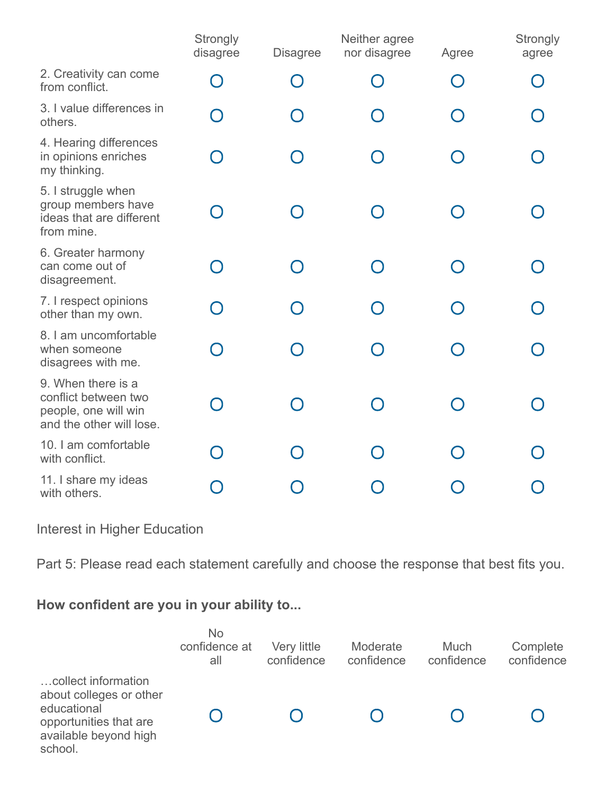|                                                                                                | Strongly<br>disagree | <b>Disagree</b> | Neither agree<br>nor disagree | Agree | Strongly<br>agree |
|------------------------------------------------------------------------------------------------|----------------------|-----------------|-------------------------------|-------|-------------------|
| 2. Creativity can come<br>from conflict.                                                       |                      | $\bigcap$       |                               |       |                   |
| 3. I value differences in<br>others.                                                           |                      |                 |                               |       |                   |
| 4. Hearing differences<br>in opinions enriches<br>my thinking.                                 |                      |                 |                               |       |                   |
| 5. I struggle when<br>group members have<br>ideas that are different<br>from mine.             |                      |                 |                               |       |                   |
| 6. Greater harmony<br>can come out of<br>disagreement.                                         |                      |                 |                               |       |                   |
| 7. I respect opinions<br>other than my own.                                                    |                      |                 |                               |       |                   |
| 8. I am uncomfortable<br>when someone<br>disagrees with me.                                    |                      |                 |                               |       |                   |
| 9. When there is a<br>conflict between two<br>people, one will win<br>and the other will lose. |                      |                 |                               |       |                   |
| 10. I am comfortable<br>with conflict.                                                         |                      |                 |                               |       |                   |
| 11. I share my ideas<br>with others.                                                           |                      |                 |                               |       |                   |

Interest in Higher Education

Part 5: Please read each statement carefully and choose the response that best fits you.

## **How confident are you in your ability to...**

|                                                                                                                             | <b>No</b><br>confidence at<br>all | Very little<br>confidence | Moderate<br>confidence | <b>Much</b><br>confidence | Complete<br>confidence |
|-----------------------------------------------------------------------------------------------------------------------------|-----------------------------------|---------------------------|------------------------|---------------------------|------------------------|
| collect information<br>about colleges or other<br>educational<br>opportunities that are<br>available beyond high<br>school. |                                   |                           |                        |                           |                        |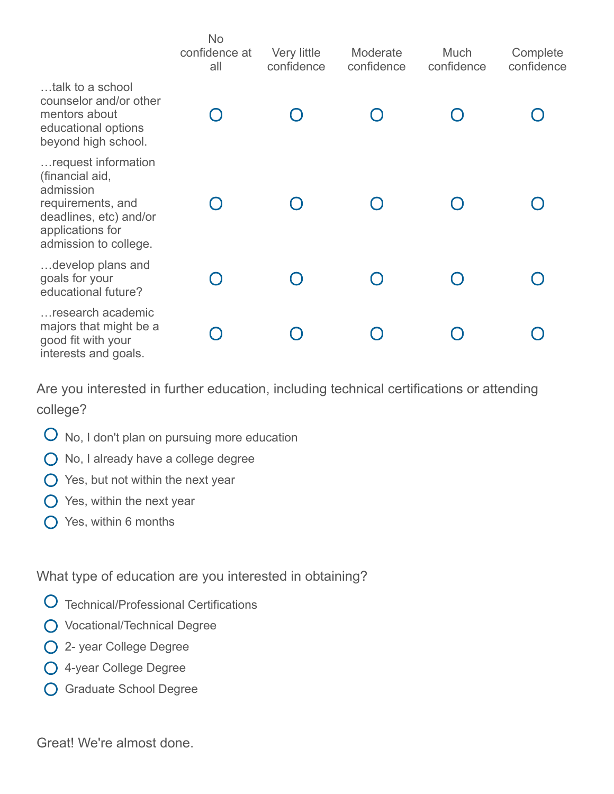|                                                                                                                                                 | <b>No</b><br>confidence at<br>all | Very little<br>confidence | Moderate<br>confidence | Much<br>confidence | Complete<br>confidence |
|-------------------------------------------------------------------------------------------------------------------------------------------------|-----------------------------------|---------------------------|------------------------|--------------------|------------------------|
| talk to a school<br>counselor and/or other<br>mentors about<br>educational options<br>beyond high school.                                       |                                   |                           |                        |                    |                        |
| request information<br>(financial aid,<br>admission<br>requirements, and<br>deadlines, etc) and/or<br>applications for<br>admission to college. |                                   |                           |                        |                    |                        |
| develop plans and<br>goals for your<br>educational future?                                                                                      |                                   |                           |                        |                    |                        |
| research academic<br>majors that might be a<br>good fit with your<br>interests and goals.                                                       |                                   |                           |                        |                    |                        |

Are you interested in further education, including technical certifications or attending college?

- $O$  No, I don't plan on pursuing more education
- No, I already have a college degree
- $\bigcirc$  Yes, but not within the next year
- $\bigcirc$  Yes, within the next year
- Yes, within 6 months

What type of education are you interested in obtaining?

- Technical/Professional Certifications
- O Vocational/Technical Degree
- 2- year College Degree
- 4-year College Degree
- Graduate School Degree

Great! We're almost done.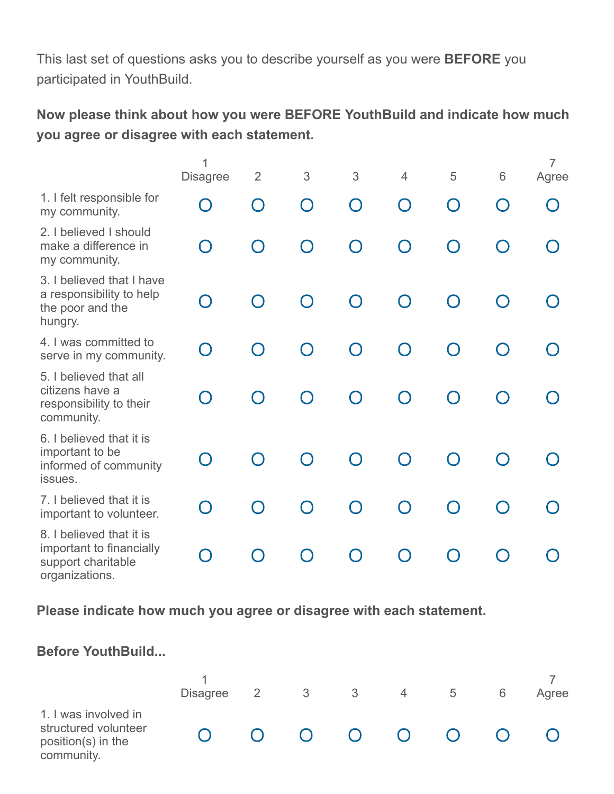This last set of questions asks you to describe yourself as you were **BEFORE** you participated in YouthBuild.

**Now please think about how you were BEFORE YouthBuild and indicate how much you agree or disagree with each statement.**

|                                                                                              | 1<br><b>Disagree</b> | $\overline{2}$ | 3         | 3         | $\overline{4}$                                | 5         | 6                                               | $\overline{7}$<br>Agree |
|----------------------------------------------------------------------------------------------|----------------------|----------------|-----------|-----------|-----------------------------------------------|-----------|-------------------------------------------------|-------------------------|
| 1. I felt responsible for<br>my community.                                                   | $\Box$               | $\bigcap$      | $\bigcap$ | $\bigcap$ | $\left( \begin{array}{c} \end{array} \right)$ | $\bigcap$ | $\left( \begin{array}{c} 1 \end{array} \right)$ |                         |
| 2. I believed I should<br>make a difference in<br>my community.                              | $\cap$               | $\bigcap$      | ∩         | ∩         | ∩                                             | ∩         | $\bigcap$                                       |                         |
| 3. I believed that I have<br>a responsibility to help<br>the poor and the<br>hungry.         | $\Box$               | ∩              | ∩         | ∩         | ∩                                             | ∩         |                                                 |                         |
| 4. I was committed to<br>serve in my community.                                              | $\cap$               | $\cap$         | ∩         | ∩         | ∩                                             | ∩         |                                                 |                         |
| 5. I believed that all<br>citizens have a<br>responsibility to their<br>community.           | $\cap$               | $\bigcap$      | $\bigcap$ | $\bigcap$ | $\bigcap$                                     | $\bigcap$ | $\bigcap$                                       |                         |
| 6. I believed that it is<br>important to be<br>informed of community<br>issues.              |                      | ∩              | ∩         | ∩         | ∩                                             |           |                                                 |                         |
| 7. I believed that it is<br>important to volunteer.                                          | $\Box$               | $\bigcap$      | ∩         | $\bigcap$ | $\bigcap$                                     | ∩         |                                                 |                         |
| 8. I believed that it is<br>important to financially<br>support charitable<br>organizations. |                      |                | ∩         | $\bigcap$ |                                               | ∩         |                                                 |                         |

**Please indicate how much you agree or disagree with each statement.**

| <b>Before YouthBuild</b>                                                         |                 |   |                        |                         |                        |   |   |       |
|----------------------------------------------------------------------------------|-----------------|---|------------------------|-------------------------|------------------------|---|---|-------|
|                                                                                  | <b>Disagree</b> | 2 | 3                      | $\overline{\mathbf{3}}$ | $\overline{4}$         | 5 | 6 | Agree |
| 1. I was involved in<br>structured volunteer<br>position(s) in the<br>community. |                 |   | $\left( \quad \right)$ | $\bigcup$               | $\left( \quad \right)$ |   |   |       |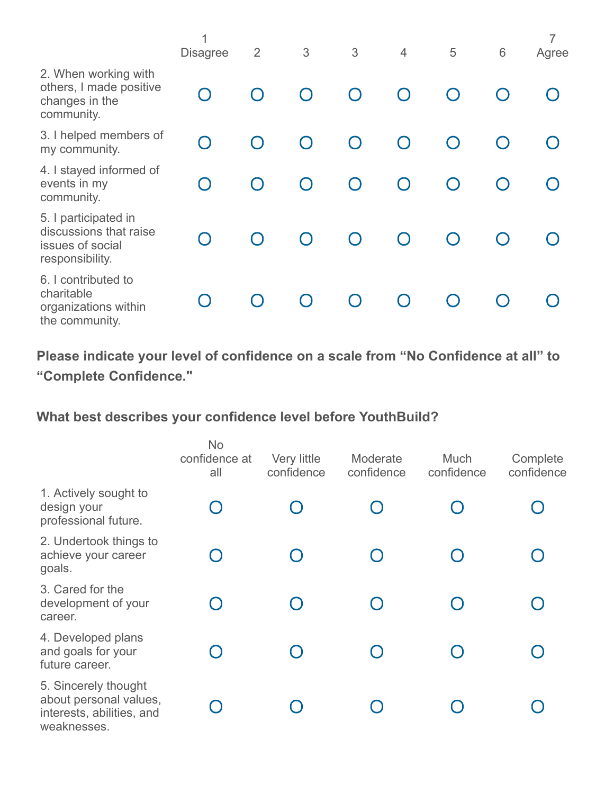|                                                                                       | 1<br><b>Disagree</b> | $\overline{2}$ | 3         | 3         | $\overline{4}$ | 5         | $6\phantom{1}$ | $\overline{7}$<br>Agree |
|---------------------------------------------------------------------------------------|----------------------|----------------|-----------|-----------|----------------|-----------|----------------|-------------------------|
| 2. When working with<br>others, I made positive<br>changes in the<br>community.       |                      | ∩              | ∩         | $\bigcap$ |                |           |                |                         |
| 3. I helped members of<br>my community.                                               |                      |                | $\bigcap$ | $\bigcap$ |                |           |                |                         |
| 4. I stayed informed of<br>events in my<br>community.                                 |                      | $\bigcap$      | $\bigcap$ | $\bigcap$ | $\cap$         | $\bigcap$ |                |                         |
| 5. I participated in<br>discussions that raise<br>issues of social<br>responsibility. |                      | $\bigcap$      | $\bigcap$ | $\bigcap$ | ∩              | $\bigcap$ | $\bigcap$      |                         |
| 6. I contributed to<br>charitable<br>organizations within<br>the community.           |                      |                |           |           |                |           |                |                         |

**Please indicate your level of confidence on a scale from "No Confidence at all" to "Complete Confidence."**

## **What best describes your confidence level before YouthBuild?**

|                                                                                            | <b>No</b><br>confidence at<br>all | Very little<br>confidence | Moderate<br>confidence | Much<br>confidence | Complete<br>confidence |
|--------------------------------------------------------------------------------------------|-----------------------------------|---------------------------|------------------------|--------------------|------------------------|
| 1. Actively sought to<br>design your<br>professional future.                               |                                   |                           |                        |                    |                        |
| 2. Undertook things to<br>achieve your career<br>goals.                                    |                                   |                           |                        |                    |                        |
| 3. Cared for the<br>development of your<br>career.                                         |                                   |                           |                        |                    |                        |
| 4. Developed plans<br>and goals for your<br>future career.                                 |                                   |                           |                        |                    |                        |
| 5. Sincerely thought<br>about personal values,<br>interests, abilities, and<br>weaknesses. |                                   |                           |                        |                    |                        |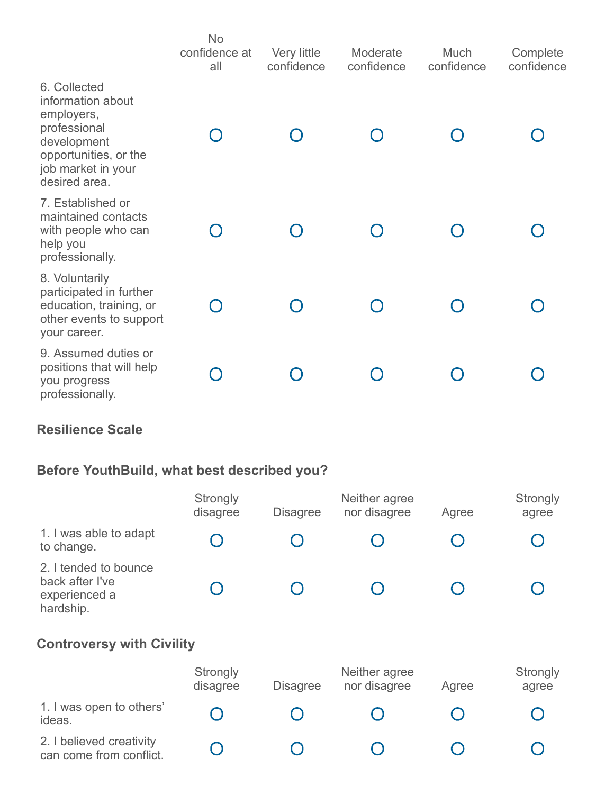|                                                                                                                                                | <b>No</b><br>confidence at<br>all | Very little<br>confidence | Moderate<br>confidence | Much<br>confidence | Complete<br>confidence |
|------------------------------------------------------------------------------------------------------------------------------------------------|-----------------------------------|---------------------------|------------------------|--------------------|------------------------|
| 6. Collected<br>information about<br>employers,<br>professional<br>development<br>opportunities, or the<br>job market in your<br>desired area. |                                   |                           |                        |                    |                        |
| 7. Established or<br>maintained contacts<br>with people who can<br>help you<br>professionally.                                                 |                                   |                           |                        |                    |                        |
| 8. Voluntarily<br>participated in further<br>education, training, or<br>other events to support<br>your career.                                |                                   |                           |                        |                    |                        |
| 9. Assumed duties or<br>positions that will help<br>you progress<br>professionally.                                                            |                                   |                           |                        |                    |                        |

## **Resilience Scale**

# **Before YouthBuild, what best described you?**

|                                                                        | Strongly<br>disagree | <b>Disagree</b> | Neither agree<br>nor disagree | Agree | Strongly<br>agree |
|------------------------------------------------------------------------|----------------------|-----------------|-------------------------------|-------|-------------------|
| 1. I was able to adapt<br>to change.                                   |                      |                 |                               |       |                   |
| 2. I tended to bounce<br>back after I've<br>experienced a<br>hardship. |                      |                 |                               |       |                   |
| <b>Controversy with Civility</b>                                       |                      |                 |                               |       |                   |
|                                                                        | Strongly<br>disagree | <b>Disagree</b> | Neither agree<br>nor disagree | Agree | Strongly<br>agree |
| 1. I was open to others'<br>ideas.                                     |                      |                 |                               |       |                   |
| 2. I believed creativity<br>can come from conflict.                    |                      |                 |                               |       |                   |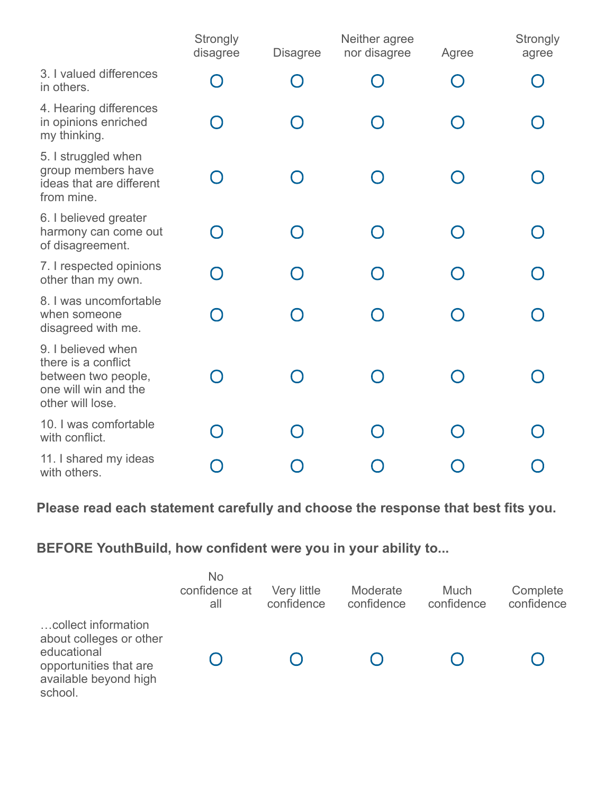|                                                                                                              | Strongly<br>disagree | <b>Disagree</b> | Neither agree<br>nor disagree | Agree  | <b>Strongly</b><br>agree |
|--------------------------------------------------------------------------------------------------------------|----------------------|-----------------|-------------------------------|--------|--------------------------|
| 3. I valued differences<br>in others.                                                                        |                      | $\bigcap$       |                               |        |                          |
| 4. Hearing differences<br>in opinions enriched<br>my thinking.                                               |                      | $\cap$          |                               |        |                          |
| 5. I struggled when<br>group members have<br>ideas that are different<br>from mine.                          |                      |                 |                               |        |                          |
| 6. I believed greater<br>harmony can come out<br>of disagreement.                                            |                      |                 | $\cap$                        | $\Box$ |                          |
| 7. I respected opinions<br>other than my own.                                                                |                      | וו              |                               |        |                          |
| 8. I was uncomfortable<br>when someone<br>disagreed with me.                                                 |                      | $\cap$          |                               |        |                          |
| 9. I believed when<br>there is a conflict<br>between two people,<br>one will win and the<br>other will lose. |                      |                 |                               |        |                          |
| 10. I was comfortable<br>with conflict.                                                                      |                      |                 |                               |        |                          |
| 11. I shared my ideas<br>with others.                                                                        |                      |                 |                               |        |                          |

## **Please read each statement carefully and choose the response that best fits you.**

## **BEFORE YouthBuild, how confident were you in your ability to...**

|                                                                                                                             | <b>No</b><br>confidence at<br>all | Very little<br>confidence | Moderate<br>confidence | <b>Much</b><br>confidence | Complete<br>confidence |
|-----------------------------------------------------------------------------------------------------------------------------|-----------------------------------|---------------------------|------------------------|---------------------------|------------------------|
| collect information<br>about colleges or other<br>educational<br>opportunities that are<br>available beyond high<br>school. |                                   |                           |                        |                           |                        |